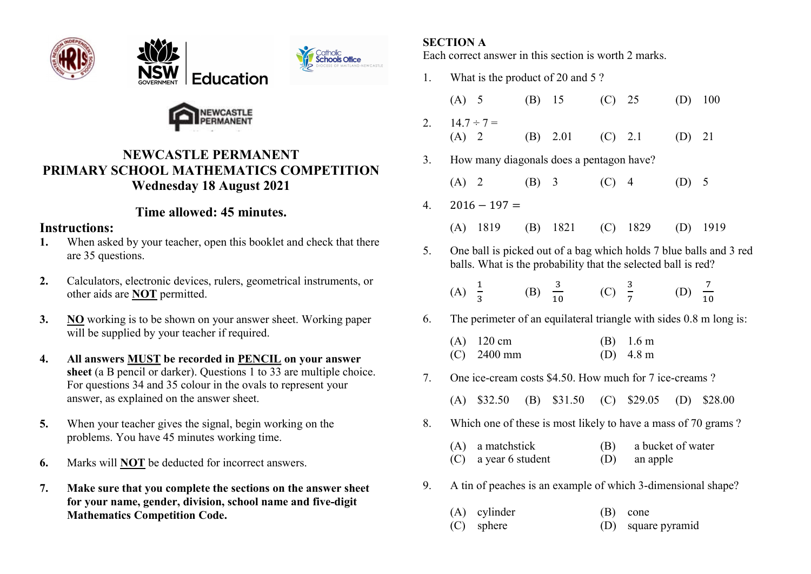







# NEWCASTLE PERMANENT PRIMARY SCHOOL MATHEMATICS COMPETITION Wednesday 18 August 2021

# Time allowed: 45 minutes.

### Instructions:

- 1. When asked by your teacher, open this booklet and check that there are 35 questions.
- 2. Calculators, electronic devices, rulers, geometrical instruments, or other aids are NOT permitted.
- 3. NO working is to be shown on your answer sheet. Working paper will be supplied by your teacher if required.
- 4. All answers MUST be recorded in PENCIL on your answer sheet (a B pencil or darker). Questions 1 to 33 are multiple choice. For questions 34 and 35 colour in the ovals to represent your answer, as explained on the answer sheet.
- 5. When your teacher gives the signal, begin working on the problems. You have 45 minutes working time.
- 6. Marks will NOT be deducted for incorrect answers.
- 7. Make sure that you complete the sections on the answer sheet for your name, gender, division, school name and five-digit Mathematics Competition Code.

### SECTION A

Each correct answer in this section is worth 2 marks.

- 1. What is the product of 20 and 5 ? (A) 5 (B) 15 (C) 25 (D) 100 2.  $14.7 \div 7 =$  (A) 2 (B) 2.01 (C) 2.1 (D) 21 3. How many diagonals does a pentagon have? (A) 2 (B) 3 (C) 4 (D) 5  $4. \quad 2016 - 197 =$  (A) 1819 (B) 1821 (C) 1829 (D) 1919 5. One ball is picked out of a bag which holds 7 blue balls and 3 red balls. What is the probability that the selected ball is red? (A)  $\frac{1}{3}$ (B)  $\frac{3}{10}$  (C)  $\frac{3}{7}$ (D)  $\frac{7}{10}$ 6. The perimeter of an equilateral triangle with sides 0.8 m long is: (A) 120 cm (B) 1.6 m (C) 2400 mm (D) 4.8 m 7. One ice-cream costs \$4.50. How much for 7 ice-creams ? (A) \$32.50 (B) \$31.50 (C) \$29.05 (D) \$28.00 8. Which one of these is most likely to have a mass of 70 grams ? (A) a matchstick (B) a bucket of water (C) a year 6 student (D) an apple
- 9. A tin of peaches is an example of which 3-dimensional shape?
	- (A) cylinder (B) cone (C) sphere (D) square pyramid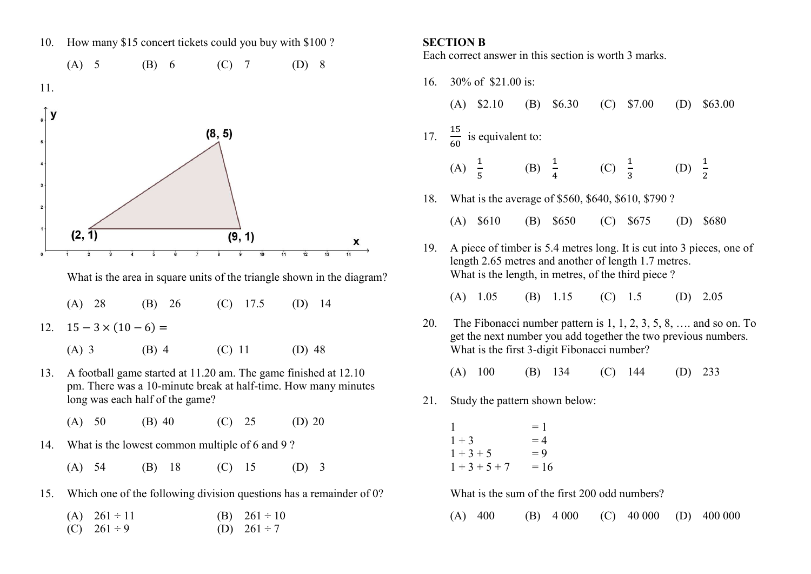10. How many \$15 concert tickets could you buy with \$100 ?

(A) 5 (B) 6 (C) 7 (D) 8





| $(A)$ 3 | $(B)$ 4 | $(C)$ 11 | $(D)$ 48 |
|---------|---------|----------|----------|
|---------|---------|----------|----------|

- 13. A football game started at 11.20 am. The game finished at 12.10 pm. There was a 10-minute break at half-time. How many minutes long was each half of the game?
	- (A) 50 (B) 40 (C) 25 (D) 20
- 14. What is the lowest common multiple of 6 and 9 ?
	- (A) 54 (B) 18 (C) 15 (D) 3
- 15. Which one of the following division questions has a remainder of 0?

| (A) $261 \div 11$ | (B) $261 \div 10$ |
|-------------------|-------------------|
| (C) $261 \div 9$  | (D) $261 \div 7$  |

#### SECTION B

Each correct answer in this section is worth 3 marks.

| 16. | 30% of \$21.00 is:                                                                                                                                                                        |                                                      |              |                         |                   |              |                   |           |  |
|-----|-------------------------------------------------------------------------------------------------------------------------------------------------------------------------------------------|------------------------------------------------------|--------------|-------------------------|-------------------|--------------|-------------------|-----------|--|
|     |                                                                                                                                                                                           |                                                      |              | (A) $$2.10$ (B) $$6.30$ |                   | $(C)$ \$7.00 | (D)               | \$63.00   |  |
|     | 17. $\frac{15}{60}$ is equivalent to:                                                                                                                                                     |                                                      |              |                         |                   |              |                   |           |  |
|     |                                                                                                                                                                                           | (A) $\frac{1}{5}$ (B) $\frac{1}{4}$                  |              |                         | (C) $\frac{1}{3}$ |              | (D) $\frac{1}{2}$ |           |  |
| 18. | What is the average of \$560, \$640, \$610, \$790 ?                                                                                                                                       |                                                      |              |                         |                   |              |                   |           |  |
|     |                                                                                                                                                                                           | $(A)$ \$610                                          |              | (B) $$650$ (C) $$675$   |                   |              | (D)               | \$680     |  |
| 19. | A piece of timber is 5.4 metres long. It is cut into 3 pieces, one of<br>length 2.65 metres and another of length 1.7 metres.<br>What is the length, in metres, of the third piece?       |                                                      |              |                         |                   |              |                   |           |  |
|     |                                                                                                                                                                                           | $(A)$ 1.05                                           | (B)          | 1.15                    | $(C)$ 1.5         |              | (D)               | 2.05      |  |
| 20. | The Fibonacci number pattern is $1, 1, 2, 3, 5, 8, \ldots$ and so on. To<br>get the next number you add together the two previous numbers.<br>What is the first 3-digit Fibonacci number? |                                                      |              |                         |                   |              |                   |           |  |
|     |                                                                                                                                                                                           |                                                      |              | $(A)$ 100 $(B)$ 134     |                   | $(C)$ 144    |                   | $(D)$ 233 |  |
| 21. | Study the pattern shown below:                                                                                                                                                            |                                                      |              |                         |                   |              |                   |           |  |
|     |                                                                                                                                                                                           | $\frac{1}{1+3}$<br>$1 + 3 + 5 = 9$<br>$1+3+5+7 = 16$ | $=1$<br>$=4$ |                         |                   |              |                   |           |  |
|     | What is the sum of the first 200 odd numbers?                                                                                                                                             |                                                      |              |                         |                   |              |                   |           |  |

(A) 400 (B) 4 000 (C) 40 000 (D) 400 000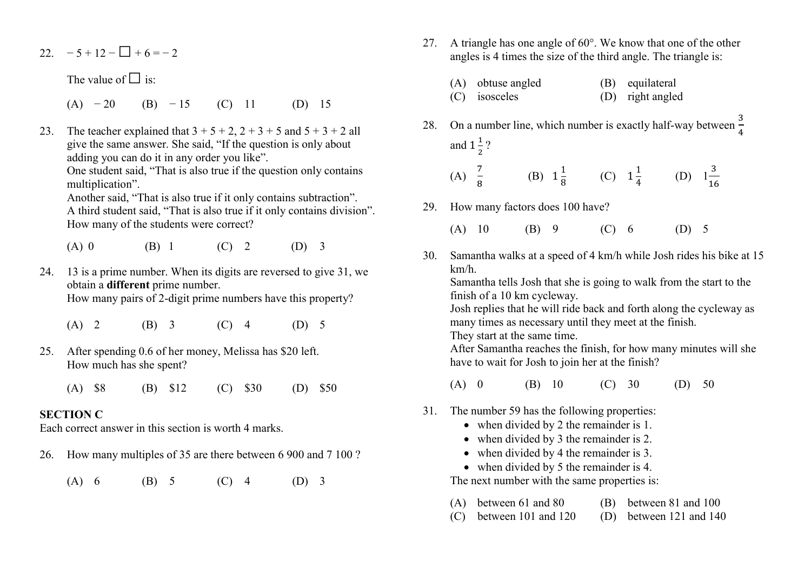### 22.  $-5+12-\square+6=-2$

The value of  $\square$  is:

- (A)  $-20$  (B)  $-15$  (C) 11 (D) 15
- 23. The teacher explained that  $3 + 5 + 2$ ,  $2 + 3 + 5$  and  $5 + 3 + 2$  all give the same answer. She said, "If the question is only about adding you can do it in any order you like".

One student said, "That is also true if the question only contains multiplication".

 Another said, "That is also true if it only contains subtraction". A third student said, "That is also true if it only contains division". How many of the students were correct?

(A) 0 (B) 1 (C) 2 (D) 3

24. 13 is a prime number. When its digits are reversed to give 31, we obtain a different prime number. How many pairs of 2-digit prime numbers have this property?

- (A) 2 (B) 3 (C) 4 (D) 5
- 25. After spending 0.6 of her money, Melissa has \$20 left. How much has she spent?
	- (A) \$8 (B) \$12 (C) \$30 (D) \$50

#### SECTION C

Each correct answer in this section is worth 4 marks.

- 26. How many multiples of 35 are there between 6 900 and 7 100 ?
	- (A) 6 (B) 5 (C) 4 (D) 3
- 27. A triangle has one angle of  $60^\circ$ . We know that one of the other angles is 4 times the size of the third angle. The triangle is:
	- (A) obtuse angled (B) equilateral (C) isosceles (D) right angled
- 28. On a number line, which number is exactly half-way between  $\frac{3}{4}$ and  $1\frac{1}{2}$  $\frac{1}{2}$ ?

(A) 
$$
\frac{7}{8}
$$
 (B)  $1\frac{1}{8}$  (C)  $1\frac{1}{4}$  (D)  $1\frac{3}{16}$ 

- 29. How many factors does 100 have?
	- (A) 10 (B) 9 (C) 6 (D) 5
- 30. Samantha walks at a speed of 4 km/h while Josh rides his bike at 15 km/h.

Samantha tells Josh that she is going to walk from the start to the finish of a 10 km cycleway.

Josh replies that he will ride back and forth along the cycleway as many times as necessary until they meet at the finish.

They start at the same time.

After Samantha reaches the finish, for how many minutes will she have to wait for Josh to join her at the finish?

- (A) 0 (B) 10 (C) 30 (D) 50
- 31. The number 59 has the following properties:
	- when divided by 2 the remainder is 1.
	- when divided by 3 the remainder is 2.
	- when divided by 4 the remainder is 3.
	- when divided by 5 the remainder is 4.

The next number with the same properties is:

- (A) between 61 and 80 (B) between 81 and 100
- (C) between 101 and 120 (D) between 121 and 140